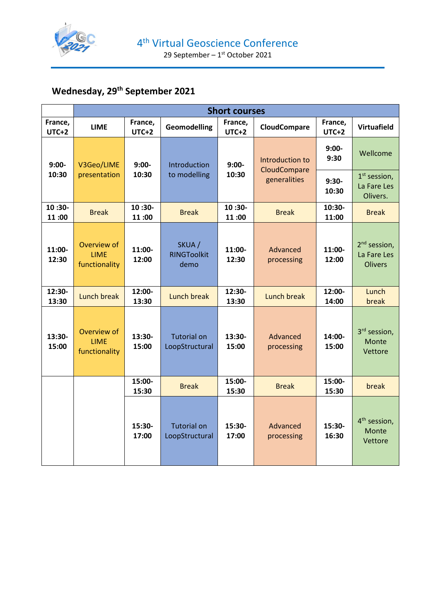

# **Wednesday, 29th September 2021**

|                         | <b>Short courses</b>                        |                    |                                      |                    |                                 |                    |                                                           |
|-------------------------|---------------------------------------------|--------------------|--------------------------------------|--------------------|---------------------------------|--------------------|-----------------------------------------------------------|
| France,<br><b>UTC+2</b> | <b>LIME</b>                                 | France,<br>$UTC+2$ | <b>Geomodelling</b>                  | France,<br>$UTC+2$ | <b>CloudCompare</b>             | France,<br>$UTC+2$ | <b>Virtuafield</b>                                        |
| $9:00-$                 | V3Geo/LIME                                  | $9:00-$            | Introduction                         | $9:00-$            | Introduction to<br>CloudCompare | $9:00-$<br>9:30    | Wellcome                                                  |
| 10:30                   | presentation                                | 10:30              | to modelling                         | 10:30              | generalities                    | $9:30-$<br>10:30   | $1st$ session,<br>La Fare Les<br>Olivers.                 |
| 10:30-<br>11:00         | <b>Break</b>                                | 10:30-<br>11:00    | <b>Break</b>                         | 10:30-<br>11:00    | <b>Break</b>                    | 10:30-<br>11:00    | <b>Break</b>                                              |
| 11:00-<br>12:30         | Overview of<br><b>LIME</b><br>functionality | 11:00-<br>12:00    | SKUA/<br><b>RINGToolkit</b><br>demo  | 11:00-<br>12:30    | Advanced<br>processing          | 11:00-<br>12:00    | 2 <sup>nd</sup> session,<br>La Fare Les<br><b>Olivers</b> |
| 12:30-<br>13:30         | Lunch break                                 | 12:00-<br>13:30    | Lunch break                          | 12:30-<br>13:30    | <b>Lunch break</b>              | 12:00-<br>14:00    | Lunch<br>break                                            |
| 13:30-<br>15:00         | Overview of<br><b>LIME</b><br>functionality | 13:30-<br>15:00    | <b>Tutorial on</b><br>LoopStructural | 13:30-<br>15:00    | Advanced<br>processing          | 14:00-<br>15:00    | 3 <sup>rd</sup> session,<br>Monte<br>Vettore              |
|                         |                                             | 15:00-<br>15:30    | <b>Break</b>                         | 15:00-<br>15:30    | <b>Break</b>                    | 15:00-<br>15:30    | break                                                     |
|                         |                                             | 15:30-<br>17:00    | <b>Tutorial on</b><br>LoopStructural | 15:30-<br>17:00    | Advanced<br>processing          | 15:30-<br>16:30    | 4 <sup>th</sup> session,<br>Monte<br>Vettore              |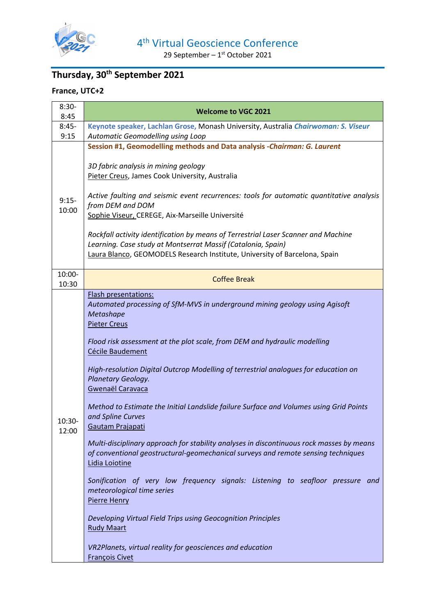

29 September –  $1<sup>st</sup>$  October 2021

## **Thursday, 30th September 2021**

#### **France, UTC+2**

| $8:30-$<br>8:45   | <b>Welcome to VGC 2021</b>                                                                                                                                                                                                                                                                                                                                                                                                                                                                                                                                                                                                                                                                                                                                                                                                                                                                                                                                                                                                 |  |  |  |
|-------------------|----------------------------------------------------------------------------------------------------------------------------------------------------------------------------------------------------------------------------------------------------------------------------------------------------------------------------------------------------------------------------------------------------------------------------------------------------------------------------------------------------------------------------------------------------------------------------------------------------------------------------------------------------------------------------------------------------------------------------------------------------------------------------------------------------------------------------------------------------------------------------------------------------------------------------------------------------------------------------------------------------------------------------|--|--|--|
| $8:45-$<br>9:15   | Keynote speaker, Lachlan Grose, Monash University, Australia Chairwoman: S. Viseur<br>Automatic Geomodelling using Loop                                                                                                                                                                                                                                                                                                                                                                                                                                                                                                                                                                                                                                                                                                                                                                                                                                                                                                    |  |  |  |
| $9:15-$<br>10:00  | Session #1, Geomodelling methods and Data analysis -Chairman: G. Laurent<br>3D fabric analysis in mining geology<br>Pieter Creus, James Cook University, Australia<br>Active faulting and seismic event recurrences: tools for automatic quantitative analysis<br>from DEM and DOM<br>Sophie Viseur, CEREGE, Aix-Marseille Université<br>Rockfall activity identification by means of Terrestrial Laser Scanner and Machine<br>Learning. Case study at Montserrat Massif (Catalonia, Spain)<br>Laura Blanco, GEOMODELS Research Institute, University of Barcelona, Spain                                                                                                                                                                                                                                                                                                                                                                                                                                                  |  |  |  |
| 10:00-<br>10:30   | <b>Coffee Break</b>                                                                                                                                                                                                                                                                                                                                                                                                                                                                                                                                                                                                                                                                                                                                                                                                                                                                                                                                                                                                        |  |  |  |
| $10:30-$<br>12:00 | Flash presentations:<br>Automated processing of SfM-MVS in underground mining geology using Agisoft<br>Metashape<br><b>Pieter Creus</b><br>Flood risk assessment at the plot scale, from DEM and hydraulic modelling<br>Cécile Baudement<br>High-resolution Digital Outcrop Modelling of terrestrial analogues for education on<br>Planetary Geology.<br>Gwenaël Caravaca<br>Method to Estimate the Initial Landslide failure Surface and Volumes using Grid Points<br>and Spline Curves<br>Gautam Prajapati<br>Multi-disciplinary approach for stability analyses in discontinuous rock masses by means<br>of conventional geostructural-geomechanical surveys and remote sensing techniques<br>Lidia Loiotine<br>Sonification of very low frequency signals: Listening to seafloor pressure and<br>meteorological time series<br>Pierre Henry<br>Developing Virtual Field Trips using Geocognition Principles<br><b>Rudy Maart</b><br>VR2Planets, virtual reality for geosciences and education<br><b>François Civet</b> |  |  |  |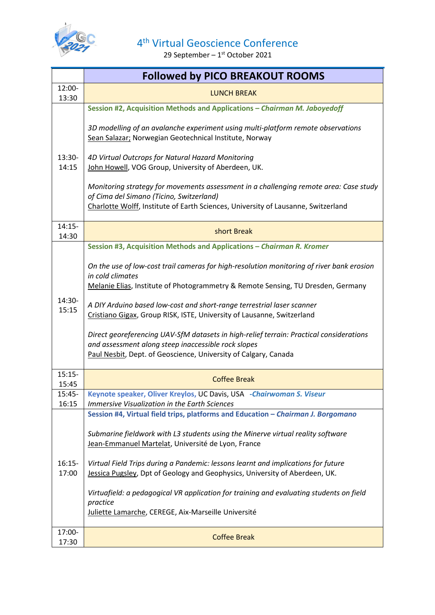

|                   | <b>Followed by PICO BREAKOUT ROOMS</b>                                                                                                                                                                                                                                                                                                                                                                                                                                                                                                                      |
|-------------------|-------------------------------------------------------------------------------------------------------------------------------------------------------------------------------------------------------------------------------------------------------------------------------------------------------------------------------------------------------------------------------------------------------------------------------------------------------------------------------------------------------------------------------------------------------------|
| 12:00-            | <b>LUNCH BREAK</b>                                                                                                                                                                                                                                                                                                                                                                                                                                                                                                                                          |
| 13:30             | Session #2, Acquisition Methods and Applications - Chairman M. Jaboyedoff                                                                                                                                                                                                                                                                                                                                                                                                                                                                                   |
| 13:30-<br>14:15   | 3D modelling of an avalanche experiment using multi-platform remote observations<br>Sean Salazar; Norwegian Geotechnical Institute, Norway<br>4D Virtual Outcrops for Natural Hazard Monitoring<br>John Howell, VOG Group, University of Aberdeen, UK.                                                                                                                                                                                                                                                                                                      |
|                   | Monitoring strategy for movements assessment in a challenging remote area: Case study<br>of Cima del Simano (Ticino, Switzerland)<br>Charlotte Wolff, Institute of Earth Sciences, University of Lausanne, Switzerland                                                                                                                                                                                                                                                                                                                                      |
| $14:15-$<br>14:30 | short Break                                                                                                                                                                                                                                                                                                                                                                                                                                                                                                                                                 |
|                   | Session #3, Acquisition Methods and Applications - Chairman R. Kromer<br>On the use of low-cost trail cameras for high-resolution monitoring of river bank erosion<br>in cold climates<br>Melanie Elias, Institute of Photogrammetry & Remote Sensing, TU Dresden, Germany                                                                                                                                                                                                                                                                                  |
| 14:30-<br>15:15   | A DIY Arduino based low-cost and short-range terrestrial laser scanner<br>Cristiano Gigax, Group RISK, ISTE, University of Lausanne, Switzerland<br>Direct georeferencing UAV-SfM datasets in high-relief terrain: Practical considerations<br>and assessment along steep inaccessible rock slopes<br>Paul Nesbit, Dept. of Geoscience, University of Calgary, Canada                                                                                                                                                                                       |
| $15:15-$<br>15:45 | <b>Coffee Break</b>                                                                                                                                                                                                                                                                                                                                                                                                                                                                                                                                         |
| 15:45-<br>16:15   | Keynote speaker, Oliver Kreylos, UC Davis, USA - Chairwoman S. Viseur<br><b>Immersive Visualization in the Earth Sciences</b>                                                                                                                                                                                                                                                                                                                                                                                                                               |
| $16:15-$<br>17:00 | Session #4, Virtual field trips, platforms and Education - Chairman J. Borgomano<br>Submarine fieldwork with L3 students using the Minerve virtual reality software<br>Jean-Emmanuel Martelat, Université de Lyon, France<br>Virtual Field Trips during a Pandemic: lessons learnt and implications for future<br>Jessica Pugsley, Dpt of Geology and Geophysics, University of Aberdeen, UK.<br>Virtuafield: a pedagogical VR application for training and evaluating students on field<br>practice<br>Juliette Lamarche, CEREGE, Aix-Marseille Université |
| 17:00-<br>17:30   | <b>Coffee Break</b>                                                                                                                                                                                                                                                                                                                                                                                                                                                                                                                                         |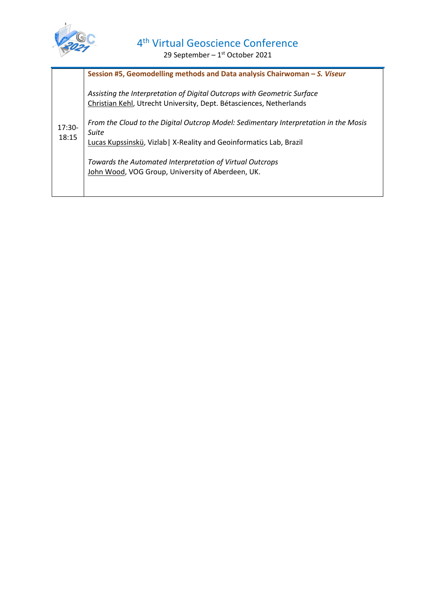

|                   | Session #5, Geomodelling methods and Data analysis Chairwoman - S. Viseur                                                                                            |
|-------------------|----------------------------------------------------------------------------------------------------------------------------------------------------------------------|
| $17:30-$<br>18:15 | Assisting the Interpretation of Digital Outcrops with Geometric Surface<br>Christian Kehl, Utrecht University, Dept. Bétasciences, Netherlands                       |
|                   | From the Cloud to the Digital Outcrop Model: Sedimentary Interpretation in the Mosis<br>Suite<br>Lucas Kupssinskü, Vizlab   X-Reality and Geoinformatics Lab, Brazil |
|                   | Towards the Automated Interpretation of Virtual Outcrops<br>John Wood, VOG Group, University of Aberdeen, UK.                                                        |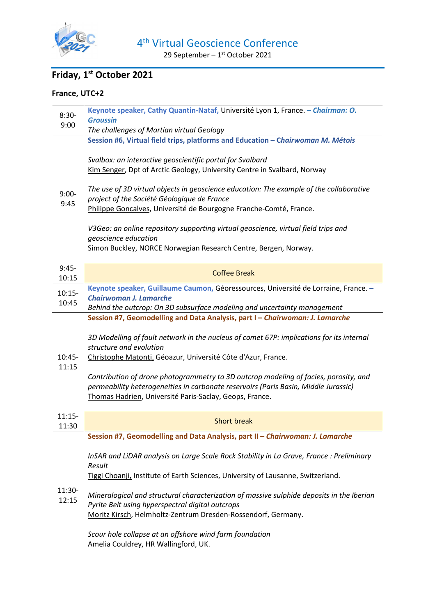

29 September –  $1<sup>st</sup>$  October 2021

## **Friday, 1st October 2021**

#### **France, UTC+2**

| $8:30-$          | Keynote speaker, Cathy Quantin-Nataf, Université Lyon 1, France. - Chairman: O.                                                                                             |
|------------------|-----------------------------------------------------------------------------------------------------------------------------------------------------------------------------|
| 9:00             | <b>Groussin</b><br>The challenges of Martian virtual Geology                                                                                                                |
|                  | Session #6, Virtual field trips, platforms and Education - Chairwoman M. Métois                                                                                             |
|                  |                                                                                                                                                                             |
|                  | Svalbox: an interactive geoscientific portal for Svalbard                                                                                                                   |
|                  | Kim Senger, Dpt of Arctic Geology, University Centre in Svalbard, Norway                                                                                                    |
|                  | The use of 3D virtual objects in geoscience education: The example of the collaborative                                                                                     |
| $9:00-$          | project of the Société Géologique de France                                                                                                                                 |
| 9:45             | Philippe Goncalves, Université de Bourgogne Franche-Comté, France.                                                                                                          |
|                  | V3Geo: an online repository supporting virtual geoscience, virtual field trips and                                                                                          |
|                  | geoscience education                                                                                                                                                        |
|                  | Simon Buckley, NORCE Norwegian Research Centre, Bergen, Norway.                                                                                                             |
|                  |                                                                                                                                                                             |
| $9:45-$<br>10:15 | <b>Coffee Break</b>                                                                                                                                                         |
| $10:15-$         | Keynote speaker, Guillaume Caumon, Géoressources, Université de Lorraine, France. -                                                                                         |
| 10:45            | <b>Chairwoman J. Lamarche</b>                                                                                                                                               |
|                  | Behind the outcrop: On 3D subsurface modeling and uncertainty management<br>Session #7, Geomodelling and Data Analysis, part I - Chairwoman: J. Lamarche                    |
|                  |                                                                                                                                                                             |
|                  | 3D Modelling of fault network in the nucleus of comet 67P: implications for its internal                                                                                    |
|                  | structure and evolution                                                                                                                                                     |
|                  |                                                                                                                                                                             |
| $10:45-$         | Christophe Matonti, Géoazur, Université Côte d'Azur, France.                                                                                                                |
| 11:15            |                                                                                                                                                                             |
|                  | Contribution of drone photogrammetry to 3D outcrop modeling of facies, porosity, and<br>permeability heterogeneities in carbonate reservoirs (Paris Basin, Middle Jurassic) |
|                  | Thomas Hadrien, Université Paris-Saclay, Geops, France.                                                                                                                     |
|                  |                                                                                                                                                                             |
| $11:15-$         | <b>Short break</b>                                                                                                                                                          |
| 11:30            | Session #7, Geomodelling and Data Analysis, part II – Chairwoman: J. Lamarche                                                                                               |
|                  |                                                                                                                                                                             |
|                  | InSAR and LiDAR analysis on Large Scale Rock Stability in La Grave, France : Preliminary                                                                                    |
|                  | Result<br>Tiggi Choanji, Institute of Earth Sciences, University of Lausanne, Switzerland.                                                                                  |
|                  |                                                                                                                                                                             |
| 11:30-<br>12:15  | Mineralogical and structural characterization of massive sulphide deposits in the Iberian                                                                                   |
|                  | Pyrite Belt using hyperspectral digital outcrops                                                                                                                            |
|                  | Moritz Kirsch, Helmholtz-Zentrum Dresden-Rossendorf, Germany.                                                                                                               |
|                  | Scour hole collapse at an offshore wind farm foundation                                                                                                                     |
|                  | Amelia Couldrey, HR Wallingford, UK.                                                                                                                                        |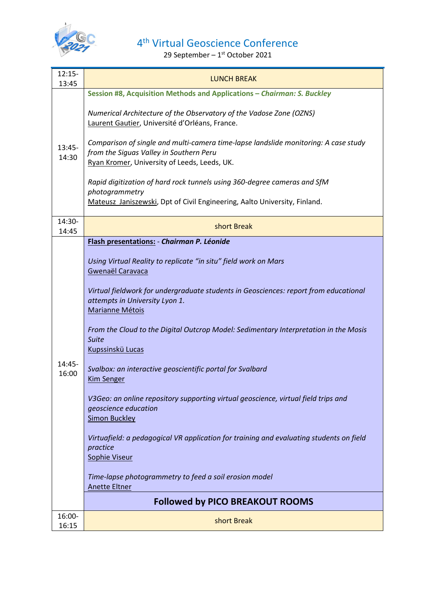

| $12:15-$<br>13:45 | <b>LUNCH BREAK</b>                                                                                                                                                                                                                                                                                                                                                                                                                                                                                                                                                                                                                                                                          |  |  |  |
|-------------------|---------------------------------------------------------------------------------------------------------------------------------------------------------------------------------------------------------------------------------------------------------------------------------------------------------------------------------------------------------------------------------------------------------------------------------------------------------------------------------------------------------------------------------------------------------------------------------------------------------------------------------------------------------------------------------------------|--|--|--|
| 13:45-<br>14:30   | Session #8, Acquisition Methods and Applications - Chairman: S. Buckley                                                                                                                                                                                                                                                                                                                                                                                                                                                                                                                                                                                                                     |  |  |  |
|                   | Numerical Architecture of the Observatory of the Vadose Zone (OZNS)<br>Laurent Gautier, Université d'Orléans, France.                                                                                                                                                                                                                                                                                                                                                                                                                                                                                                                                                                       |  |  |  |
|                   | Comparison of single and multi-camera time-lapse landslide monitoring: A case study<br>from the Siguas Valley in Southern Peru<br>Ryan Kromer, University of Leeds, Leeds, UK.                                                                                                                                                                                                                                                                                                                                                                                                                                                                                                              |  |  |  |
|                   | Rapid digitization of hard rock tunnels using 360-degree cameras and SfM<br>photogrammetry<br>Mateusz Janiszewski, Dpt of Civil Engineering, Aalto University, Finland.                                                                                                                                                                                                                                                                                                                                                                                                                                                                                                                     |  |  |  |
| 14:30-<br>14:45   | short Break                                                                                                                                                                                                                                                                                                                                                                                                                                                                                                                                                                                                                                                                                 |  |  |  |
|                   | Flash presentations: - Chairman P. Léonide                                                                                                                                                                                                                                                                                                                                                                                                                                                                                                                                                                                                                                                  |  |  |  |
| 14:45-<br>16:00   | Using Virtual Reality to replicate "in situ" field work on Mars<br>Gwenaël Caravaca<br>Virtual fieldwork for undergraduate students in Geosciences: report from educational<br>attempts in University Lyon 1.<br>Marianne Métois<br>From the Cloud to the Digital Outcrop Model: Sedimentary Interpretation in the Mosis<br><b>Suite</b><br>Kupssinskü Lucas<br>Svalbox: an interactive geoscientific portal for Svalbard<br><b>Kim Senger</b><br>V3Geo: an online repository supporting virtual geoscience, virtual field trips and<br>geoscience education<br><b>Simon Buckley</b><br>Virtuafield: a pedagogical VR application for training and evaluating students on field<br>practice |  |  |  |
|                   | <b>Sophie Viseur</b><br>Time-lapse photogrammetry to feed a soil erosion model<br><b>Anette Eltner</b>                                                                                                                                                                                                                                                                                                                                                                                                                                                                                                                                                                                      |  |  |  |
|                   | <b>Followed by PICO BREAKOUT ROOMS</b>                                                                                                                                                                                                                                                                                                                                                                                                                                                                                                                                                                                                                                                      |  |  |  |
| 16:00-<br>16:15   | short Break                                                                                                                                                                                                                                                                                                                                                                                                                                                                                                                                                                                                                                                                                 |  |  |  |